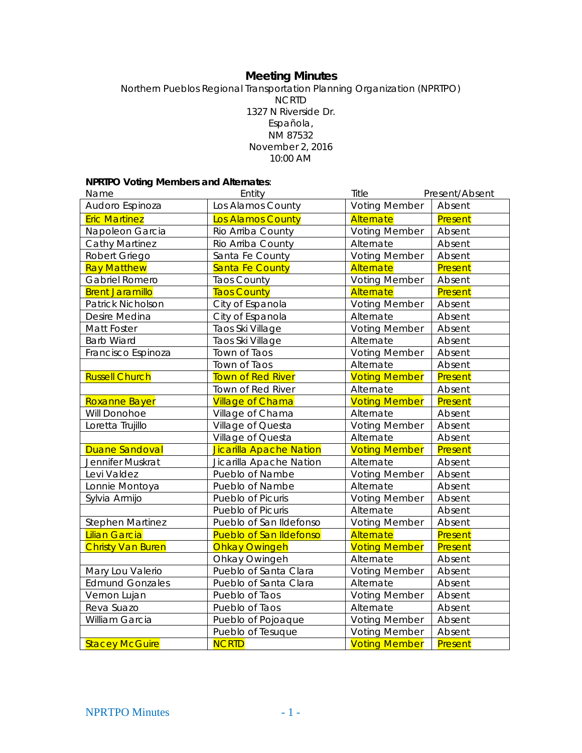# **Meeting Minutes**

Northern Pueblos Regional Transportation Planning Organization (NPRTPO) NCRTD 1327 N Riverside Dr. Española, NM 87532 November 2, 2016 10:00 AM

# **NPRTPO Voting Members and Alternates**:

| Name                     | Entity                         | Title                          | Present/Absent |
|--------------------------|--------------------------------|--------------------------------|----------------|
| Audoro Espinoza          | Los Alamos County              | <b>Voting Member</b>           | Absent         |
| <b>Eric Martinez</b>     | Los Alamos County              | Alternate                      | Present        |
| Napoleon Garcia          | Rio Arriba County              | <b>Voting Member</b>           | Absent         |
| <b>Cathy Martinez</b>    | Rio Arriba County              | Alternate                      | Absent         |
| Robert Griego            | Santa Fe County                | <b>Voting Member</b><br>Absent |                |
| <b>Ray Matthew</b>       | Santa Fe County                | Alternate                      | Present        |
| Gabriel Romero           | <b>Taos County</b>             | <b>Voting Member</b>           | Absent         |
| <b>Brent Jaramillo</b>   | <b>Taos County</b>             | Alternate                      | Present        |
| Patrick Nicholson        | City of Espanola               | <b>Voting Member</b>           | Absent         |
| Desire Medina            | City of Espanola               | Alternate                      | Absent         |
| Matt Foster              | Taos Ski Village               | <b>Voting Member</b>           | Absent         |
| <b>Barb Wiard</b>        | Taos Ski Village               | Alternate                      | Absent         |
| Francisco Espinoza       | Town of Taos                   | <b>Voting Member</b>           | Absent         |
|                          | Town of Taos                   | Alternate                      | Absent         |
| <b>Russell Church</b>    | <b>Town of Red River</b>       | <b>Voting Member</b>           | Present        |
|                          | Town of Red River              | Alternate                      | Absent         |
| Roxanne Bayer            | <b>Village of Chama</b>        | <b>Voting Member</b>           | Present        |
| Will Donohoe             | Village of Chama               | Alternate                      | Absent         |
| Loretta Trujillo         | Village of Questa              | <b>Voting Member</b>           | Absent         |
|                          | Village of Questa              | Alternate                      | Absent         |
| <b>Duane Sandoval</b>    | Jicarilla Apache Nation        | <b>Voting Member</b>           | Present        |
| Jennifer Muskrat         | Jicarilla Apache Nation        | Alternate                      | Absent         |
| Levi Valdez              | Pueblo of Nambe                | <b>Voting Member</b>           | Absent         |
| Lonnie Montoya           | Pueblo of Nambe                | Alternate                      | Absent         |
| Sylvia Armijo            | Pueblo of Picuris              | <b>Voting Member</b>           | Absent         |
|                          | Pueblo of Picuris              | Alternate                      | Absent         |
| <b>Stephen Martinez</b>  | Pueblo of San Ildefonso        | <b>Voting Member</b>           | Absent         |
| <b>Lilian Garcia</b>     | <b>Pueblo of San Ildefonso</b> | Alternate                      | Present        |
| <b>Christy Van Buren</b> | <b>Ohkay Owingeh</b>           | <b>Voting Member</b>           | Present        |
|                          | Ohkay Owingeh                  | Alternate                      | Absent         |
| Mary Lou Valerio         | Pueblo of Santa Clara          | <b>Voting Member</b>           | Absent         |
| <b>Edmund Gonzales</b>   | Pueblo of Santa Clara          | Alternate                      | Absent         |
| Vernon Lujan             | Pueblo of Taos                 | <b>Voting Member</b>           | Absent         |
| Reva Suazo               | Pueblo of Taos                 | Alternate                      | Absent         |
| William Garcia           | Pueblo of Pojoaque             | <b>Voting Member</b>           | Absent         |
|                          | Pueblo of Tesuque              | <b>Voting Member</b>           | Absent         |
| <b>Stacey McGuire</b>    | <b>NCRTD</b>                   | <b>Voting Member</b>           | Present        |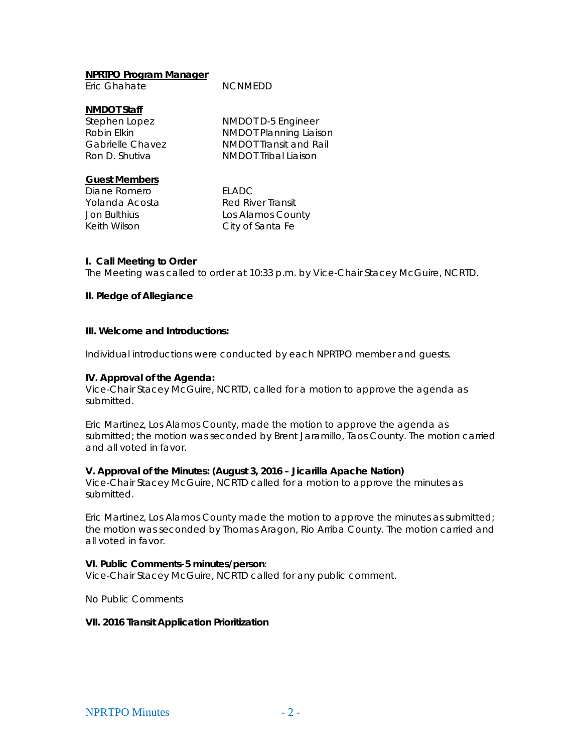#### **NPRTPO Program Manager**

## **NMDOT Staff**

Stephen Lopez NMDOT D-5 Engineer Robin Elkin NMDOT Planning Liaison Gabrielle Chavez **NMDOT** Transit and Rail Ron D. Shutiya **NMDOT** Tribal Liaison

## **Guest Members**

Diane Romero FLADC

Yolanda Acosta Red River Transit Jon Bulthius Los Alamos County Keith Wilson City of Santa Fe

#### **I. Call Meeting to Order**

The Meeting was called to order at 10:33 p.m. by Vice-Chair Stacey McGuire, NCRTD.

# **II. Pledge of Allegiance**

#### **III. Welcome and Introductions:**

Individual introductions were conducted by each NPRTPO member and guests.

#### **IV. Approval of the Agenda:**

Vice-Chair Stacey McGuire, NCRTD, called for a motion to approve the agenda as submitted.

Eric Martinez, Los Alamos County, made the motion to approve the agenda as submitted; the motion was seconded by Brent Jaramillo, Taos County. The motion carried and all voted in favor.

#### **V. Approval of the Minutes: (August 3, 2016 – Jicarilla Apache Nation)**

Vice-Chair Stacey McGuire, NCRTD called for a motion to approve the minutes as submitted.

Eric Martinez, Los Alamos County made the motion to approve the minutes as submitted; the motion was seconded by Thomas Aragon, Rio Arriba County. The motion carried and all voted in favor.

# **VI. Public Comments-5 minutes/person**:

Vice-Chair Stacey McGuire, NCRTD called for any public comment.

No Public Comments

#### **VII. 2016 Transit Application Prioritization**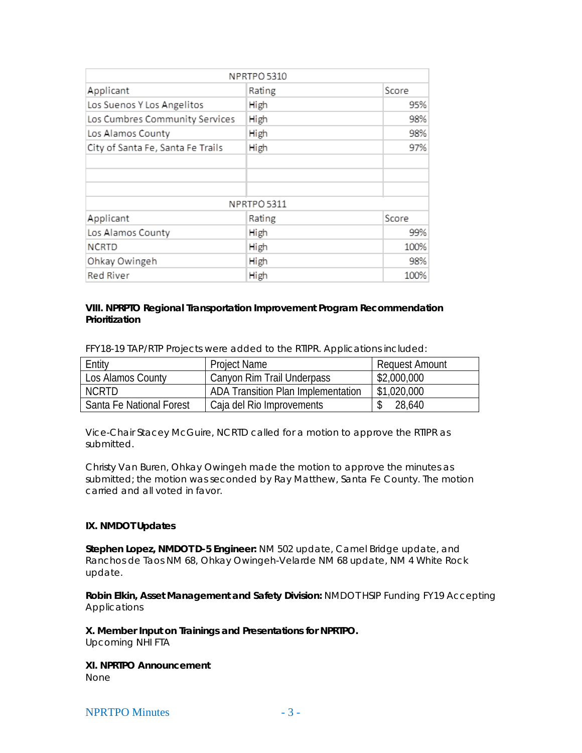|                                   | NPRTPO 5310 |       |
|-----------------------------------|-------------|-------|
| Applicant                         | Rating      | Score |
| Los Suenos Y Los Angelitos        | High        | 95%   |
| Los Cumbres Community Services    | High        | 98%   |
| Los Alamos County                 | High        | 98%   |
| City of Santa Fe, Santa Fe Trails | High        | 97%   |
|                                   |             |       |
|                                   |             |       |
|                                   |             |       |
|                                   | NPRTPO 5311 |       |
| Applicant                         | Rating      | Score |
| Los Alamos County                 | High        | 99%   |
| <b>NCRTD</b>                      | High        | 100%  |
| Ohkay Owingeh                     | High        | 98%   |
| Red River                         | High        | 100%  |

# **VIII. NPRPTO Regional Transportation Improvement Program Recommendation Prioritization**

FFY18-19 TAP/RTP Projects were added to the RTIPR. Applications included:

| Entity                   | <b>Project Name</b>                | Request Amount |
|--------------------------|------------------------------------|----------------|
| Los Alamos County        | Canyon Rim Trail Underpass         | \$2,000,000    |
| NCRTD                    | ADA Transition Plan Implementation | \$1,020,000    |
| Santa Fe National Forest | Caja del Rio Improvements          | 28,640         |

Vice-Chair Stacey McGuire, NCRTD called for a motion to approve the RTIPR as submitted.

Christy Van Buren, Ohkay Owingeh made the motion to approve the minutes as submitted; the motion was seconded by Ray Matthew, Santa Fe County. The motion carried and all voted in favor.

# **IX. NMDOT Updates**

**Stephen Lopez, NMDOT D-5 Engineer:** NM 502 update, Camel Bridge update, and Ranchos de Taos NM 68, Ohkay Owingeh-Velarde NM 68 update, NM 4 White Rock update.

**Robin Elkin, Asset Management and Safety Division:** NMDOT HSIP Funding FY19 Accepting **Applications** 

**X. Member Input on Trainings and Presentations for NPRTPO.** Upcoming NHI FTA

**XI. NPRTPO Announcement** None